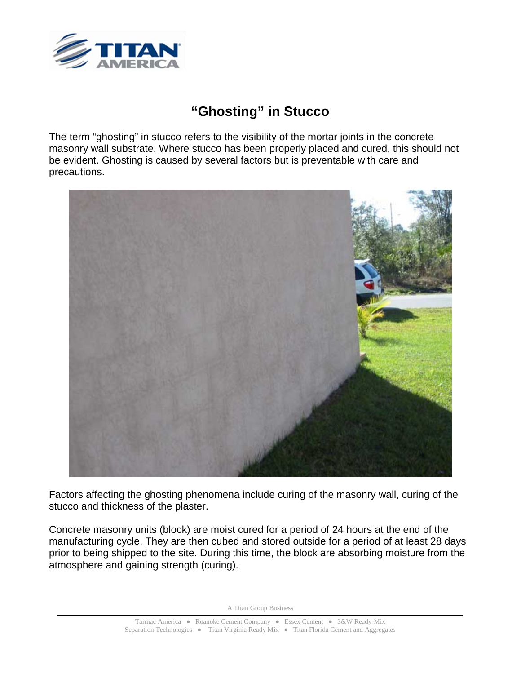

## **"Ghosting" in Stucco**

The term "ghosting" in stucco refers to the visibility of the mortar joints in the concrete masonry wall substrate. Where stucco has been properly placed and cured, this should not be evident. Ghosting is caused by several factors but is preventable with care and precautions.



Factors affecting the ghosting phenomena include curing of the masonry wall, curing of the stucco and thickness of the plaster.

Concrete masonry units (block) are moist cured for a period of 24 hours at the end of the manufacturing cycle. They are then cubed and stored outside for a period of at least 28 days prior to being shipped to the site. During this time, the block are absorbing moisture from the atmosphere and gaining strength (curing).

A Titan Group Business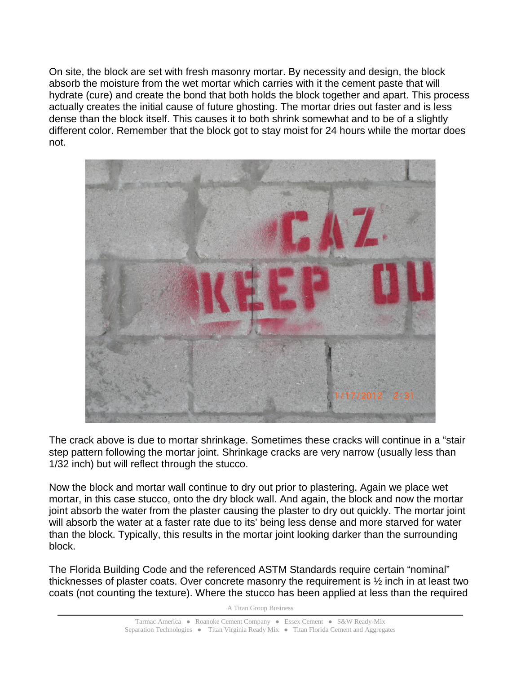On site, the block are set with fresh masonry mortar. By necessity and design, the block absorb the moisture from the wet mortar which carries with it the cement paste that will hydrate (cure) and create the bond that both holds the block together and apart. This process actually creates the initial cause of future ghosting. The mortar dries out faster and is less dense than the block itself. This causes it to both shrink somewhat and to be of a slightly different color. Remember that the block got to stay moist for 24 hours while the mortar does not.



The crack above is due to mortar shrinkage. Sometimes these cracks will continue in a "stair step pattern following the mortar joint. Shrinkage cracks are very narrow (usually less than 1/32 inch) but will reflect through the stucco.

Now the block and mortar wall continue to dry out prior to plastering. Again we place wet mortar, in this case stucco, onto the dry block wall. And again, the block and now the mortar joint absorb the water from the plaster causing the plaster to dry out quickly. The mortar joint will absorb the water at a faster rate due to its' being less dense and more starved for water than the block. Typically, this results in the mortar joint looking darker than the surrounding block.

The Florida Building Code and the referenced ASTM Standards require certain "nominal" thicknesses of plaster coats. Over concrete masonry the requirement is ½ inch in at least two coats (not counting the texture). Where the stucco has been applied at less than the required

A Titan Group Business